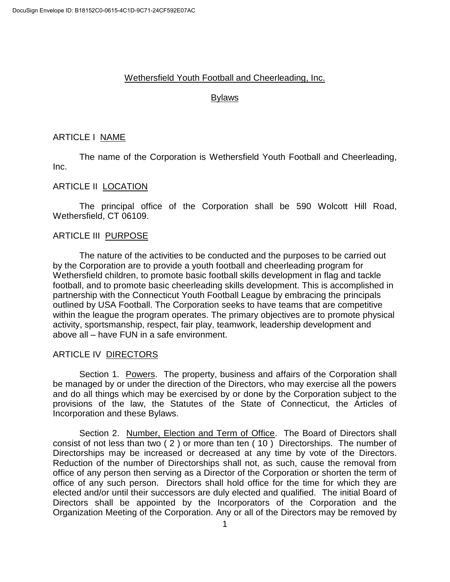## Wethersfield Youth Football and Cheerleading, Inc.

#### Bylaws

# ARTICLE I NAME

The name of the Corporation is Wethersfield Youth Football and Cheerleading, Inc.

# ARTICLE II LOCATION

The principal office of the Corporation shall be 590 Wolcott Hill Road, Wethersfield, CT 06109.

## ARTICLE III PURPOSE

The nature of the activities to be conducted and the purposes to be carried out by the Corporation are to provide a youth football and cheerleading program for Wethersfield children, to promote basic football skills development in flag and tackle football, and to promote basic cheerleading skills development. This is accomplished in partnership with the Connecticut Youth Football League by embracing the principals outlined by USA Football. The Corporation seeks to have teams that are competitive within the league the program operates. The primary objectives are to promote physical activity, sportsmanship, respect, fair play, teamwork, leadership development and above all – have FUN in a safe environment.

#### ARTICLE IV DIRECTORS

Section 1. Powers. The property, business and affairs of the Corporation shall be managed by or under the direction of the Directors, who may exercise all the powers and do all things which may be exercised by or done by the Corporation subject to the provisions of the law, the Statutes of the State of Connecticut, the Articles of Incorporation and these Bylaws.

Section 2. Number, Election and Term of Office. The Board of Directors shall consist of not less than two ( 2 ) or more than ten ( 10 ) Directorships. The number of Directorships may be increased or decreased at any time by vote of the Directors. Reduction of the number of Directorships shall not, as such, cause the removal from office of any person then serving as a Director of the Corporation or shorten the term of office of any such person. Directors shall hold office for the time for which they are elected and/or until their successors are duly elected and qualified. The initial Board of Directors shall be appointed by the Incorporators of the Corporation and the Organization Meeting of the Corporation. Any or all of the Directors may be removed by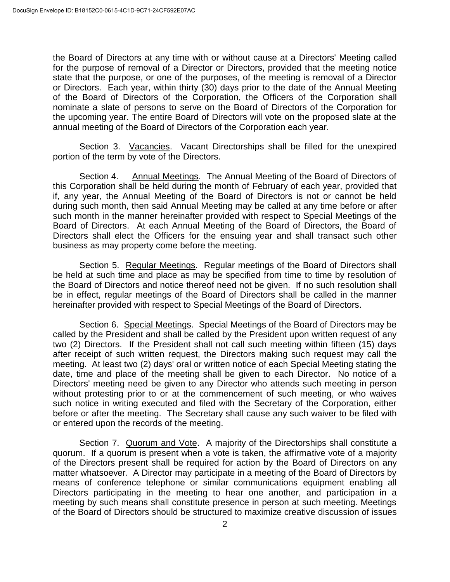the Board of Directors at any time with or without cause at a Directors' Meeting called for the purpose of removal of a Director or Directors, provided that the meeting notice state that the purpose, or one of the purposes, of the meeting is removal of a Director or Directors. Each year, within thirty (30) days prior to the date of the Annual Meeting of the Board of Directors of the Corporation, the Officers of the Corporation shall nominate a slate of persons to serve on the Board of Directors of the Corporation for the upcoming year. The entire Board of Directors will vote on the proposed slate at the annual meeting of the Board of Directors of the Corporation each year.

Section 3. Vacancies. Vacant Directorships shall be filled for the unexpired portion of the term by vote of the Directors.

Section 4. Annual Meetings. The Annual Meeting of the Board of Directors of this Corporation shall be held during the month of February of each year, provided that if, any year, the Annual Meeting of the Board of Directors is not or cannot be held during such month, then said Annual Meeting may be called at any time before or after such month in the manner hereinafter provided with respect to Special Meetings of the Board of Directors. At each Annual Meeting of the Board of Directors, the Board of Directors shall elect the Officers for the ensuing year and shall transact such other business as may property come before the meeting.

Section 5. Regular Meetings. Regular meetings of the Board of Directors shall be held at such time and place as may be specified from time to time by resolution of the Board of Directors and notice thereof need not be given. If no such resolution shall be in effect, regular meetings of the Board of Directors shall be called in the manner hereinafter provided with respect to Special Meetings of the Board of Directors.

Section 6. Special Meetings. Special Meetings of the Board of Directors may be called by the President and shall be called by the President upon written request of any two (2) Directors. If the President shall not call such meeting within fifteen (15) days after receipt of such written request, the Directors making such request may call the meeting. At least two (2) days' oral or written notice of each Special Meeting stating the date, time and place of the meeting shall be given to each Director. No notice of a Directors' meeting need be given to any Director who attends such meeting in person without protesting prior to or at the commencement of such meeting, or who waives such notice in writing executed and filed with the Secretary of the Corporation, either before or after the meeting. The Secretary shall cause any such waiver to be filed with or entered upon the records of the meeting.

Section 7. Quorum and Vote. A majority of the Directorships shall constitute a quorum. If a quorum is present when a vote is taken, the affirmative vote of a majority of the Directors present shall be required for action by the Board of Directors on any matter whatsoever. A Director may participate in a meeting of the Board of Directors by means of conference telephone or similar communications equipment enabling all Directors participating in the meeting to hear one another, and participation in a meeting by such means shall constitute presence in person at such meeting. Meetings of the Board of Directors should be structured to maximize creative discussion of issues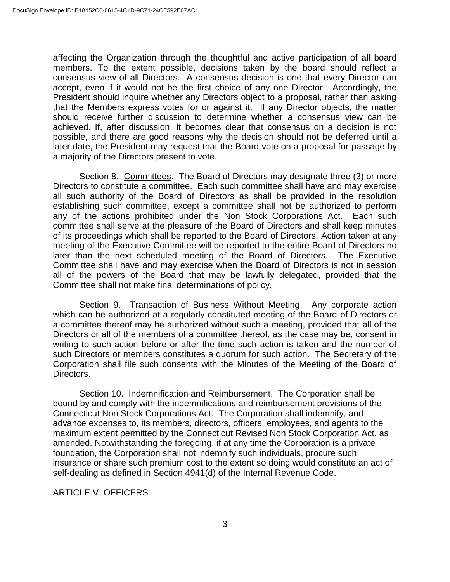affecting the Organization through the thoughtful and active participation of all board members. To the extent possible, decisions taken by the board should reflect a consensus view of all Directors. A consensus decision is one that every Director can accept, even if it would not be the first choice of any one Director. Accordingly, the President should inquire whether any Directors object to a proposal, rather than asking that the Members express votes for or against it. If any Director objects, the matter should receive further discussion to determine whether a consensus view can be achieved. If, after discussion, it becomes clear that consensus on a decision is not possible, and there are good reasons why the decision should not be deferred until a later date, the President may request that the Board vote on a proposal for passage by a majority of the Directors present to vote.

Section 8. Committees. The Board of Directors may designate three (3) or more Directors to constitute a committee. Each such committee shall have and may exercise all such authority of the Board of Directors as shall be provided in the resolution establishing such committee, except a committee shall not be authorized to perform any of the actions prohibited under the Non Stock Corporations Act. Each such committee shall serve at the pleasure of the Board of Directors and shall keep minutes of its proceedings which shall be reported to the Board of Directors. Action taken at any meeting of the Executive Committee will be reported to the entire Board of Directors no later than the next scheduled meeting of the Board of Directors. The Executive Committee shall have and may exercise when the Board of Directors is not in session all of the powers of the Board that may be lawfully delegated, provided that the Committee shall not make final determinations of policy.

Section 9. Transaction of Business Without Meeting. Any corporate action which can be authorized at a regularly constituted meeting of the Board of Directors or a committee thereof may be authorized without such a meeting, provided that all of the Directors or all of the members of a committee thereof, as the case may be, consent in writing to such action before or after the time such action is taken and the number of such Directors or members constitutes a quorum for such action. The Secretary of the Corporation shall file such consents with the Minutes of the Meeting of the Board of Directors.

Section 10. Indemnification and Reimbursement. The Corporation shall be bound by and comply with the indemnifications and reimbursement provisions of the Connecticut Non Stock Corporations Act. The Corporation shall indemnify, and advance expenses to, its members, directors, officers, employees, and agents to the maximum extent permitted by the Connecticut Revised Non Stock Corporation Act, as amended. Notwithstanding the foregoing, if at any time the Corporation is a private foundation, the Corporation shall not indemnify such individuals, procure such insurance or share such premium cost to the extent so doing would constitute an act of self-dealing as defined in Section 4941(d) of the Internal Revenue Code.

# ARTICLE V OFFICERS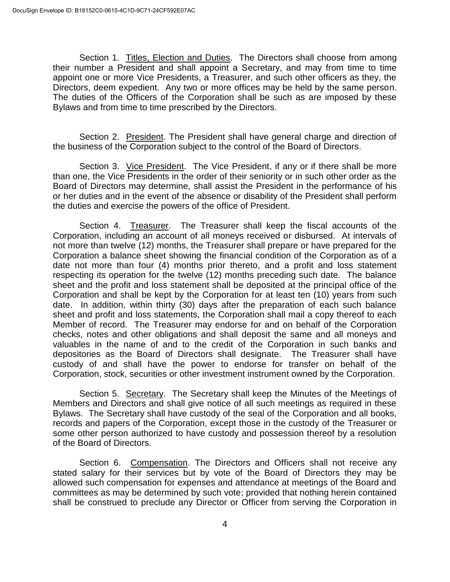Section 1. Titles, Election and Duties. The Directors shall choose from among their number a President and shall appoint a Secretary, and may from time to time appoint one or more Vice Presidents, a Treasurer, and such other officers as they, the Directors, deem expedient. Any two or more offices may be held by the same person. The duties of the Officers of the Corporation shall be such as are imposed by these Bylaws and from time to time prescribed by the Directors.

Section 2. President. The President shall have general charge and direction of the business of the Corporation subject to the control of the Board of Directors.

Section 3. Vice President. The Vice President, if any or if there shall be more than one, the Vice Presidents in the order of their seniority or in such other order as the Board of Directors may determine, shall assist the President in the performance of his or her duties and in the event of the absence or disability of the President shall perform the duties and exercise the powers of the office of President.

Section 4. Treasurer. The Treasurer shall keep the fiscal accounts of the Corporation, including an account of all moneys received or disbursed. At intervals of not more than twelve (12) months, the Treasurer shall prepare or have prepared for the Corporation a balance sheet showing the financial condition of the Corporation as of a date not more than four (4) months prior thereto, and a profit and loss statement respecting its operation for the twelve (12) months preceding such date. The balance sheet and the profit and loss statement shall be deposited at the principal office of the Corporation and shall be kept by the Corporation for at least ten (10) years from such date. In addition, within thirty (30) days after the preparation of each such balance sheet and profit and loss statements, the Corporation shall mail a copy thereof to each Member of record. The Treasurer may endorse for and on behalf of the Corporation checks, notes and other obligations and shall deposit the same and all moneys and valuables in the name of and to the credit of the Corporation in such banks and depositories as the Board of Directors shall designate. The Treasurer shall have custody of and shall have the power to endorse for transfer on behalf of the Corporation, stock, securities or other investment instrument owned by the Corporation.

Section 5. Secretary. The Secretary shall keep the Minutes of the Meetings of Members and Directors and shall give notice of all such meetings as required in these Bylaws. The Secretary shall have custody of the seal of the Corporation and all books, records and papers of the Corporation, except those in the custody of the Treasurer or some other person authorized to have custody and possession thereof by a resolution of the Board of Directors.

Section 6. Compensation. The Directors and Officers shall not receive any stated salary for their services but by vote of the Board of Directors they may be allowed such compensation for expenses and attendance at meetings of the Board and committees as may be determined by such vote; provided that nothing herein contained shall be construed to preclude any Director or Officer from serving the Corporation in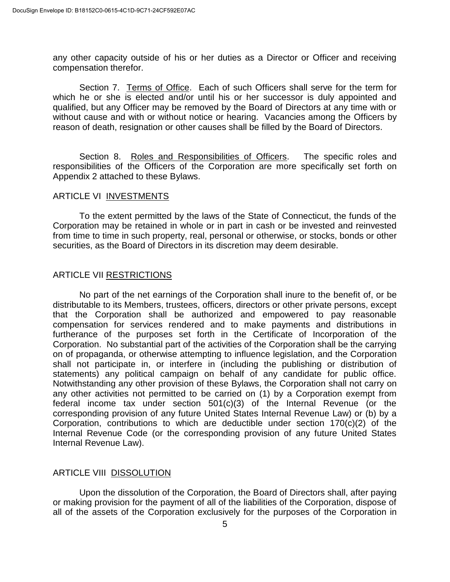any other capacity outside of his or her duties as a Director or Officer and receiving compensation therefor.

Section 7. Terms of Office. Each of such Officers shall serve for the term for which he or she is elected and/or until his or her successor is duly appointed and qualified, but any Officer may be removed by the Board of Directors at any time with or without cause and with or without notice or hearing. Vacancies among the Officers by reason of death, resignation or other causes shall be filled by the Board of Directors.

Section 8. Roles and Responsibilities of Officers. The specific roles and responsibilities of the Officers of the Corporation are more specifically set forth on Appendix 2 attached to these Bylaws.

#### ARTICLE VI INVESTMENTS

To the extent permitted by the laws of the State of Connecticut, the funds of the Corporation may be retained in whole or in part in cash or be invested and reinvested from time to time in such property, real, personal or otherwise, or stocks, bonds or other securities, as the Board of Directors in its discretion may deem desirable.

# ARTICLE VII RESTRICTIONS

No part of the net earnings of the Corporation shall inure to the benefit of, or be distributable to its Members, trustees, officers, directors or other private persons, except that the Corporation shall be authorized and empowered to pay reasonable compensation for services rendered and to make payments and distributions in furtherance of the purposes set forth in the Certificate of Incorporation of the Corporation. No substantial part of the activities of the Corporation shall be the carrying on of propaganda, or otherwise attempting to influence legislation, and the Corporation shall not participate in, or interfere in (including the publishing or distribution of statements) any political campaign on behalf of any candidate for public office. Notwithstanding any other provision of these Bylaws, the Corporation shall not carry on any other activities not permitted to be carried on (1) by a Corporation exempt from federal income tax under section 501(c)(3) of the Internal Revenue (or the corresponding provision of any future United States Internal Revenue Law) or (b) by a Corporation, contributions to which are deductible under section 170(c)(2) of the Internal Revenue Code (or the corresponding provision of any future United States Internal Revenue Law).

# ARTICLE VIII DISSOLUTION

Upon the dissolution of the Corporation, the Board of Directors shall, after paying or making provision for the payment of all of the liabilities of the Corporation, dispose of all of the assets of the Corporation exclusively for the purposes of the Corporation in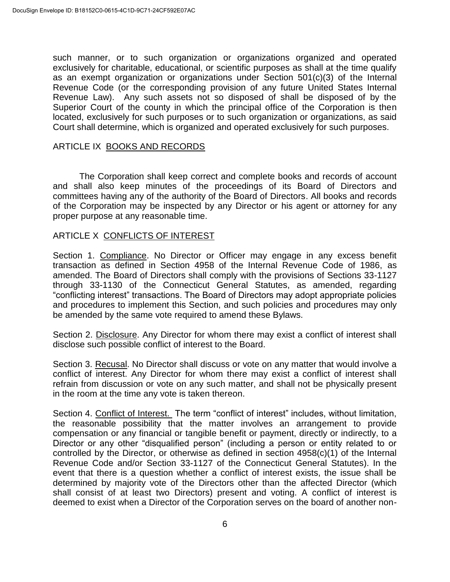such manner, or to such organization or organizations organized and operated exclusively for charitable, educational, or scientific purposes as shall at the time qualify as an exempt organization or organizations under Section 501(c)(3) of the Internal Revenue Code (or the corresponding provision of any future United States Internal Revenue Law). Any such assets not so disposed of shall be disposed of by the Superior Court of the county in which the principal office of the Corporation is then located, exclusively for such purposes or to such organization or organizations, as said Court shall determine, which is organized and operated exclusively for such purposes.

#### ARTICLE IX BOOKS AND RECORDS

The Corporation shall keep correct and complete books and records of account and shall also keep minutes of the proceedings of its Board of Directors and committees having any of the authority of the Board of Directors. All books and records of the Corporation may be inspected by any Director or his agent or attorney for any proper purpose at any reasonable time.

## ARTICLE X CONFLICTS OF INTEREST

Section 1. Compliance. No Director or Officer may engage in any excess benefit transaction as defined in Section 4958 of the Internal Revenue Code of 1986, as amended. The Board of Directors shall comply with the provisions of Sections 33-1127 through 33-1130 of the Connecticut General Statutes, as amended, regarding "conflicting interest" transactions. The Board of Directors may adopt appropriate policies and procedures to implement this Section, and such policies and procedures may only be amended by the same vote required to amend these Bylaws.

Section 2. Disclosure. Any Director for whom there may exist a conflict of interest shall disclose such possible conflict of interest to the Board.

Section 3. Recusal. No Director shall discuss or vote on any matter that would involve a conflict of interest. Any Director for whom there may exist a conflict of interest shall refrain from discussion or vote on any such matter, and shall not be physically present in the room at the time any vote is taken thereon.

Section 4. Conflict of Interest. The term "conflict of interest" includes, without limitation, the reasonable possibility that the matter involves an arrangement to provide compensation or any financial or tangible benefit or payment, directly or indirectly, to a Director or any other "disqualified person" (including a person or entity related to or controlled by the Director, or otherwise as defined in section 4958(c)(1) of the Internal Revenue Code and/or Section 33-1127 of the Connecticut General Statutes). In the event that there is a question whether a conflict of interest exists, the issue shall be determined by majority vote of the Directors other than the affected Director (which shall consist of at least two Directors) present and voting. A conflict of interest is deemed to exist when a Director of the Corporation serves on the board of another non-